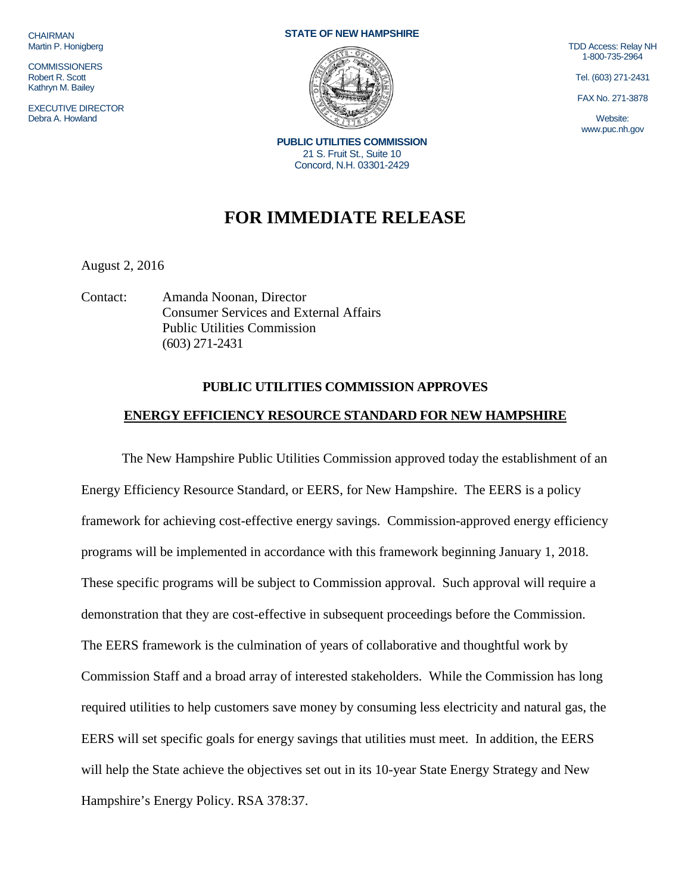**CHAIRMAN** Martin P. Honigberg

**COMMISSIONERS** Robert R. Scott Kathryn M. Bailey

EXECUTIVE DIRECTOR Debra A. Howland

## **STATE OF NEW HAMPSHIRE**



**PUBLIC UTILITIES COMMISSION** 21 S. Fruit St., Suite 10 Concord, N.H. 03301-2429

## TDD Access: Relay NH 1-800-735-2964

Tel. (603) 271-2431

FAX No. 271-3878

Website: www.puc.nh.gov

## **FOR IMMEDIATE RELEASE**

August 2, 2016

Contact: Amanda Noonan, Director Consumer Services and External Affairs Public Utilities Commission (603) 271-2431

## **PUBLIC UTILITIES COMMISSION APPROVES ENERGY EFFICIENCY RESOURCE STANDARD FOR NEW HAMPSHIRE**

The New Hampshire Public Utilities Commission approved today the establishment of an Energy Efficiency Resource Standard, or EERS, for New Hampshire. The EERS is a policy framework for achieving cost-effective energy savings. Commission-approved energy efficiency programs will be implemented in accordance with this framework beginning January 1, 2018. These specific programs will be subject to Commission approval. Such approval will require a demonstration that they are cost-effective in subsequent proceedings before the Commission. The EERS framework is the culmination of years of collaborative and thoughtful work by Commission Staff and a broad array of interested stakeholders. While the Commission has long required utilities to help customers save money by consuming less electricity and natural gas, the EERS will set specific goals for energy savings that utilities must meet. In addition, the EERS will help the State achieve the objectives set out in its 10-year State Energy Strategy and New Hampshire's Energy Policy. RSA 378:37.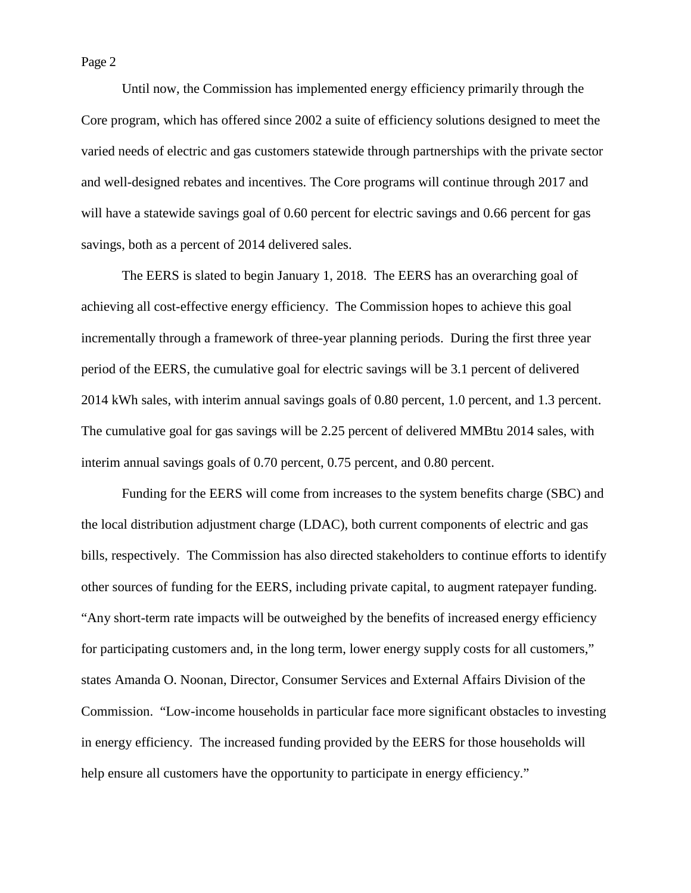Page 2

Until now, the Commission has implemented energy efficiency primarily through the Core program, which has offered since 2002 a suite of efficiency solutions designed to meet the varied needs of electric and gas customers statewide through partnerships with the private sector and well-designed rebates and incentives. The Core programs will continue through 2017 and will have a statewide savings goal of 0.60 percent for electric savings and 0.66 percent for gas savings, both as a percent of 2014 delivered sales.

The EERS is slated to begin January 1, 2018. The EERS has an overarching goal of achieving all cost-effective energy efficiency. The Commission hopes to achieve this goal incrementally through a framework of three-year planning periods. During the first three year period of the EERS, the cumulative goal for electric savings will be 3.1 percent of delivered 2014 kWh sales, with interim annual savings goals of 0.80 percent, 1.0 percent, and 1.3 percent. The cumulative goal for gas savings will be 2.25 percent of delivered MMBtu 2014 sales, with interim annual savings goals of 0.70 percent, 0.75 percent, and 0.80 percent.

Funding for the EERS will come from increases to the system benefits charge (SBC) and the local distribution adjustment charge (LDAC), both current components of electric and gas bills, respectively. The Commission has also directed stakeholders to continue efforts to identify other sources of funding for the EERS, including private capital, to augment ratepayer funding. "Any short-term rate impacts will be outweighed by the benefits of increased energy efficiency for participating customers and, in the long term, lower energy supply costs for all customers," states Amanda O. Noonan, Director, Consumer Services and External Affairs Division of the Commission. "Low-income households in particular face more significant obstacles to investing in energy efficiency. The increased funding provided by the EERS for those households will help ensure all customers have the opportunity to participate in energy efficiency."